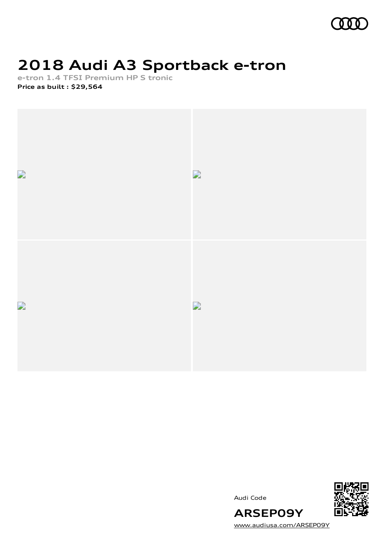

### **2018 Audi A3 Sportback e-tron**

**e-tron 1.4 TFSI Premium HP S tronic**

**Price as built [:](#page-9-0) \$29,564**







[www.audiusa.com/ARSEP09Y](https://www.audiusa.com/ARSEP09Y)

**ARSEP09Y**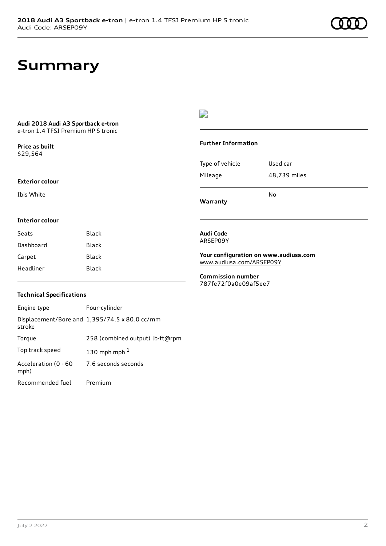### **Summary**

#### **Audi 2018 Audi A3 Sportback e-tron** e-tron 1.4 TFSI Premium HP S tronic

**Price as buil[t](#page-9-0)** \$29,564

#### **Exterior colour**

**Interior colour**

Ibis White

### $\overline{\phantom{a}}$

#### **Further Information**

|                 | No           |
|-----------------|--------------|
| Mileage         | 48,739 miles |
| Type of vehicle | Used car     |

**Warranty**

#### **Audi Code** ARSEP09Y

**Your configuration on www.audiusa.com** [www.audiusa.com/ARSEP09Y](https://www.audiusa.com/ARSEP09Y)

**Commission number** 787fe72f0a0e09af5ee7

### **Technical Specifications**

Seats Black Dashboard Black Carpet Black Headliner Black

| Engine type                  | Four-cylinder                                 |
|------------------------------|-----------------------------------------------|
| stroke                       | Displacement/Bore and 1,395/74.5 x 80.0 cc/mm |
| Torque                       | 258 (combined output) lb-ft@rpm               |
| Top track speed              | 130 mph mph $1$                               |
| Acceleration (0 - 60<br>mph) | 7.6 seconds seconds                           |
| Recommended fuel             | Premium                                       |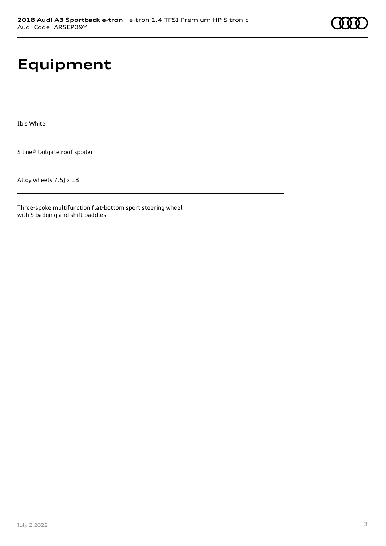# **Equipment**

Ibis White

S line® tailgate roof spoiler

Alloy wheels 7.5J x 18

Three-spoke multifunction flat-bottom sport steering wheel with S badging and shift paddles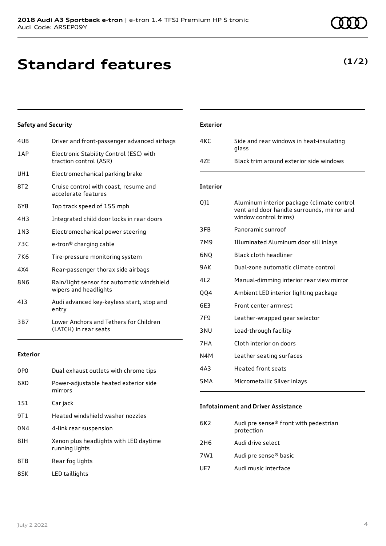### **Standard features**

### **Safety and Security**

| 4UB        | Driver and front-passenger advanced airbags                         |
|------------|---------------------------------------------------------------------|
| 1 A P      | Electronic Stability Control (ESC) with<br>traction control (ASR)   |
| UH1        | Electromechanical parking brake                                     |
| 8T2        | Cruise control with coast, resume and<br>accelerate features        |
| 6Y8        | Top track speed of 155 mph                                          |
| 4H3        | Integrated child door locks in rear doors                           |
| 1 N 3      | Electromechanical power steering                                    |
| 73C        | e-tron <sup>®</sup> charging cable                                  |
| <b>7K6</b> | Tire-pressure monitoring system                                     |
| 4X4        | Rear-passenger thorax side airbags                                  |
| 8N6        | Rain/light sensor for automatic windshield<br>wipers and headlights |
| 413        | Audi advanced key-keyless start, stop and<br>entry                  |
| 3B7        | Lower Anchors and Tethers for Children<br>(LATCH) in rear seats     |
|            |                                                                     |

#### **Exterior**

| 0P <sub>0</sub> | Dual exhaust outlets with chrome tips                    |
|-----------------|----------------------------------------------------------|
| 6XD             | Power-adjustable heated exterior side<br>mirrors         |
| 1S1             | Car jack                                                 |
| 9T1             | Heated windshield washer nozzles                         |
| 0 <sub>N4</sub> | 4-link rear suspension                                   |
| 8IH             | Xenon plus headlights with LED daytime<br>running lights |
| 8TB             | Rear fog lights                                          |
| 8SK             | LED taillights                                           |

### **Exterior** 4KC Side and rear windows in heat-insulating glass 4ZE Black trim around exterior side windows **Interior** QJ1 Aluminum interior package (climate control vent and door handle surrounds, mirror and window control trims) 3FB Panoramic sunroof 7M9 Illuminated Aluminum door sill inlays 6NQ Black cloth headliner 9AK Dual-zone automatic climate control 4L2 Manual-dimming interior rear view mirror QQ4 Ambient LED interior lighting package 6E3 Front center armrest 7F9 Leather-wrapped gear selector 3NU Load-through facility 7HA Cloth interior on doors

- N4M Leather seating surfaces 4A3 Heated front seats
- 5MA Micrometallic Silver inlays

#### **Infotainment and Driver Assistance**

| Audi pre sense® front with pedestrian<br>protection |
|-----------------------------------------------------|
| Audi drive select                                   |
| Audi pre sense <sup>®</sup> basic                   |
| Audi music interface                                |
|                                                     |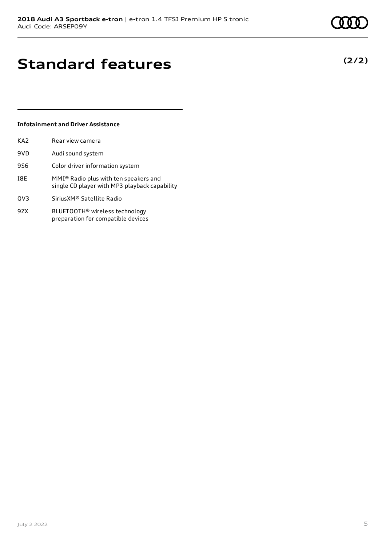### **Standard features**

### **Infotainment and Driver Assistance**

| KA <sub>2</sub> | Rear view camera                                                                       |
|-----------------|----------------------------------------------------------------------------------------|
| 9VD             | Audi sound system                                                                      |
| 9S6             | Color driver information system                                                        |
| I8E             | MMI® Radio plus with ten speakers and<br>single CD player with MP3 playback capability |
| QV3             | Sirius XM® Satellite Radio                                                             |
| 9ZX             | BLUETOOTH <sup>®</sup> wireless technology<br>preparation for compatible devices       |

**(2/2)**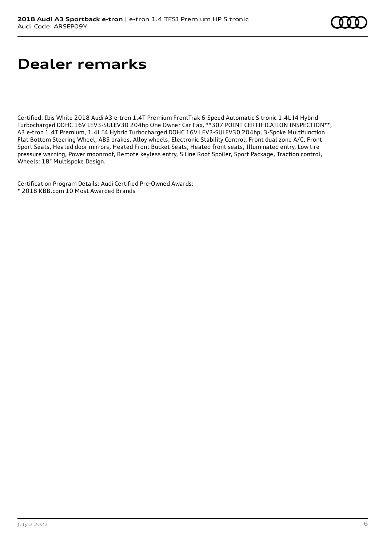# **Dealer remarks**

Certified. Ibis White 2018 Audi A3 e-tron 1.4T Premium FrontTrak 6-Speed Automatic S tronic 1.4L I4 Hybrid Turbocharged DOHC 16V LEV3-SULEV30 204hp One Owner Car Fax, \*\*307 POINT CERTIFICATION INSPECTION\*\*, A3 e-tron 1.4T Premium, 1.4L I4 Hybrid Turbocharged DOHC 16V LEV3-SULEV30 204hp, 3-Spoke Multifunction Flat Bottom Steering Wheel, ABS brakes, Alloy wheels, Electronic Stability Control, Front dual zone A/C, Front Sport Seats, Heated door mirrors, Heated Front Bucket Seats, Heated front seats, Illuminated entry, Low tire pressure warning, Power moonroof, Remote keyless entry, S Line Roof Spoiler, Sport Package, Traction control, Wheels: 18" Multispoke Design.

Certification Program Details: Audi Certified Pre-Owned Awards: \* 2018 KBB.com 10 Most Awarded Brands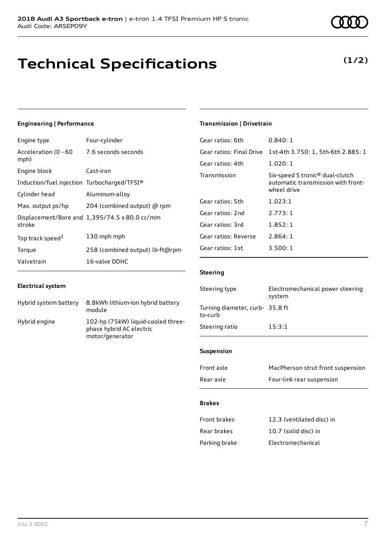### **Technical Specifications**

### **Engineering | Performance**

| Engine type                                 | Four-cylinder                                 |
|---------------------------------------------|-----------------------------------------------|
| Acceleration (0 - 60<br>mph)                | 7.6 seconds seconds                           |
| Engine block                                | Cast-iron                                     |
| Induction/fuel injection Turbocharged/TFSI® |                                               |
| Cylinder head                               | Aluminum-alloy                                |
| Max. output ps/hp                           | 204 (combined output) @ rpm                   |
| stroke                                      | Displacement/Bore and 1,395/74.5 x 80.0 cc/mm |
| Top track speed <sup>1</sup>                | 130 mph mph                                   |
| Torque                                      | 258 (combined output) lb-ft@rpm               |
| Valvetrain                                  | 16-valve DOHC                                 |

### **Electrical system**

| Hybrid system battery | 8.8kWh lithium-ion hybrid battery<br>module                                       |
|-----------------------|-----------------------------------------------------------------------------------|
| Hybrid engine         | 102-hp (75kW) liquid-cooled three-<br>phase hybrid AC electric<br>motor/generator |

### **Transmission | Drivetrain**

| Gear ratios: 6th         | 0.840:1                                                                                          |
|--------------------------|--------------------------------------------------------------------------------------------------|
| Gear ratios: Final Drive | 1st-4th 3.750: 1, 5th-6th 2.885: 1                                                               |
| Gear ratios: 4th         | 1.020:1                                                                                          |
| Transmission             | Six-speed S tronic <sup>®</sup> dual-clutch<br>automatic transmission with front-<br>wheel drive |
| Gear ratios: 5th         | 1.023:1                                                                                          |
| Gear ratios: 2nd         | 2.773:1                                                                                          |
| Gear ratios: 3rd         | 1.852:1                                                                                          |
| Gear ratios: Reverse     | 2.864:1                                                                                          |
| Gear ratios: 1st         | 3.500:1                                                                                          |
|                          |                                                                                                  |

### **Steering**

| Steering type                             | Electromechanical power steering<br>system |
|-------------------------------------------|--------------------------------------------|
| Turning diameter, curb-35.8 ft<br>to-curb |                                            |
| Steering ratio                            | 15:3:1                                     |

#### **Suspension**

| Front axle | MacPherson strut front suspension |
|------------|-----------------------------------|
| Rear axle  | Four-link rear suspension         |

#### **Brakes**

| Front brakes  | 12.3 (ventilated disc) in |
|---------------|---------------------------|
| Rear brakes   | 10.7 (solid disc) in      |
| Parking brake | Electromechanical         |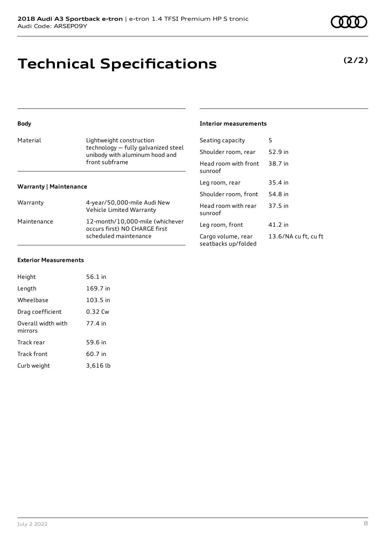### **Technical Specifications**

| <b>Body</b>                   |                                                                                                                     | <b>Interior measurements</b>              |                      |
|-------------------------------|---------------------------------------------------------------------------------------------------------------------|-------------------------------------------|----------------------|
| Material                      | Lightweight construction<br>technology - fully galvanized steel<br>unibody with aluminum hood and<br>front subframe | Seating capacity                          | 5                    |
|                               |                                                                                                                     | Shoulder room, rear                       | 52.9 in              |
|                               |                                                                                                                     | Head room with front<br>sunroof           | 38.7 in              |
| <b>Warranty   Maintenance</b> |                                                                                                                     | Leg room, rear                            | 35.4 in              |
|                               |                                                                                                                     | Shoulder room, front                      | 54.8 in              |
| Warranty                      | 4-year/50,000-mile Audi New<br>Vehicle Limited Warranty                                                             | Head room with rear<br>sunroof            | 37.5 in              |
| Maintenance                   | 12-month/10,000-mile (whichever<br>occurs first) NO CHARGE first<br>scheduled maintenance                           | Leg room, front                           | 41.2 in              |
|                               |                                                                                                                     | Cargo volume, rear<br>seatbacks up/folded | 13.6/NA cu ft, cu ft |
|                               |                                                                                                                     |                                           |                      |

### **Exterior Measurements**

| Height                        | 56.1 in    |  |
|-------------------------------|------------|--|
| Length                        | 169.7 in   |  |
| Wheelbase                     | $103.5$ in |  |
| Drag coefficient              | 0.32 Cw    |  |
| Overall width with<br>mirrors | 77.4 in    |  |
| Track rear                    | 59.6 in    |  |
| <b>Track front</b>            | 60.7 in    |  |
| Curb weight                   | 3,616 lb   |  |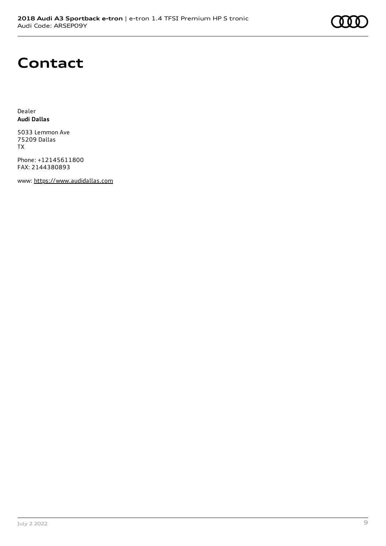### **Contact**

Dealer **Audi Dallas**

5033 Lemmon Ave 75209 Dallas TX

Phone: +12145611800 FAX: 2144380893

www: [https://www.audidallas.com](https://www.audidallas.com/)